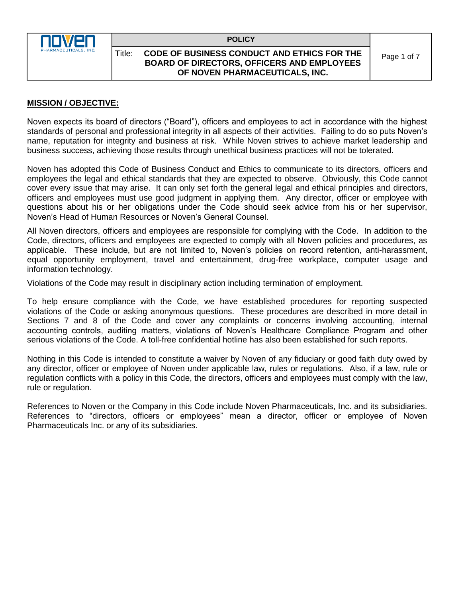

## Title: **CODE OF BUSINESS CONDUCT AND ETHICS FOR THE BOARD OF DIRECTORS, OFFICERS AND EMPLOYEES OF NOVEN PHARMACEUTICALS, INC.**

Page 1 of 7

# **MISSION / OBJECTIVE:**

Noven expects its board of directors ("Board"), officers and employees to act in accordance with the highest standards of personal and professional integrity in all aspects of their activities. Failing to do so puts Noven's name, reputation for integrity and business at risk. While Noven strives to achieve market leadership and business success, achieving those results through unethical business practices will not be tolerated.

Noven has adopted this Code of Business Conduct and Ethics to communicate to its directors, officers and employees the legal and ethical standards that they are expected to observe. Obviously, this Code cannot cover every issue that may arise. It can only set forth the general legal and ethical principles and directors, officers and employees must use good judgment in applying them. Any director, officer or employee with questions about his or her obligations under the Code should seek advice from his or her supervisor, Noven's Head of Human Resources or Noven's General Counsel.

All Noven directors, officers and employees are responsible for complying with the Code. In addition to the Code, directors, officers and employees are expected to comply with all Noven policies and procedures, as applicable. These include, but are not limited to, Noven's policies on record retention, anti-harassment, equal opportunity employment, travel and entertainment, drug-free workplace, computer usage and information technology.

Violations of the Code may result in disciplinary action including termination of employment.

To help ensure compliance with the Code, we have established procedures for reporting suspected violations of the Code or asking anonymous questions. These procedures are described in more detail in Sections 7 and 8 of the Code and cover any complaints or concerns involving accounting, internal accounting controls, auditing matters, violations of Noven's Healthcare Compliance Program and other serious violations of the Code. A toll-free confidential hotline has also been established for such reports.

Nothing in this Code is intended to constitute a waiver by Noven of any fiduciary or good faith duty owed by any director, officer or employee of Noven under applicable law, rules or regulations. Also, if a law, rule or regulation conflicts with a policy in this Code, the directors, officers and employees must comply with the law, rule or regulation.

References to Noven or the Company in this Code include Noven Pharmaceuticals, Inc. and its subsidiaries. References to "directors, officers or employees" mean a director, officer or employee of Noven Pharmaceuticals Inc. or any of its subsidiaries.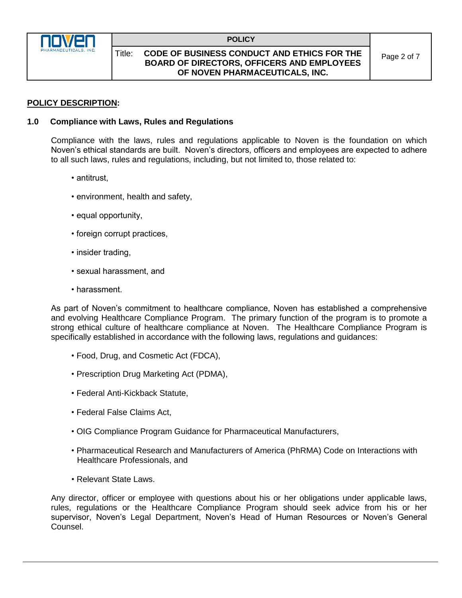

## Title: **CODE OF BUSINESS CONDUCT AND ETHICS FOR THE BOARD OF DIRECTORS, OFFICERS AND EMPLOYEES OF NOVEN PHARMACEUTICALS, INC.**

# **POLICY DESCRIPTION:**

## **1.0 Compliance with Laws, Rules and Regulations**

Compliance with the laws, rules and regulations applicable to Noven is the foundation on which Noven's ethical standards are built. Noven's directors, officers and employees are expected to adhere to all such laws, rules and regulations, including, but not limited to, those related to:

- antitrust,
- environment, health and safety,
- equal opportunity,
- foreign corrupt practices,
- insider trading,
- sexual harassment, and
- harassment.

As part of Noven's commitment to healthcare compliance, Noven has established a comprehensive and evolving Healthcare Compliance Program. The primary function of the program is to promote a strong ethical culture of healthcare compliance at Noven. The Healthcare Compliance Program is specifically established in accordance with the following laws, regulations and guidances:

- Food, Drug, and Cosmetic Act (FDCA),
- Prescription Drug Marketing Act (PDMA),
- Federal Anti-Kickback Statute,
- Federal False Claims Act,
- OIG Compliance Program Guidance for Pharmaceutical Manufacturers,
- Pharmaceutical Research and Manufacturers of America (PhRMA) Code on Interactions with Healthcare Professionals, and
- Relevant State Laws.

Any director, officer or employee with questions about his or her obligations under applicable laws, rules, regulations or the Healthcare Compliance Program should seek advice from his or her supervisor, Noven's Legal Department, Noven's Head of Human Resources or Noven's General Counsel.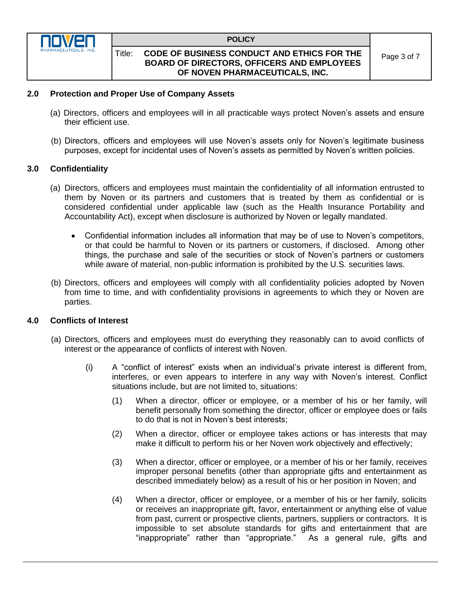

## Title: **CODE OF BUSINESS CONDUCT AND ETHICS FOR THE BOARD OF DIRECTORS, OFFICERS AND EMPLOYEES OF NOVEN PHARMACEUTICALS, INC.**

## **2.0 Protection and Proper Use of Company Assets**

- (a) Directors, officers and employees will in all practicable ways protect Noven's assets and ensure their efficient use.
- (b) Directors, officers and employees will use Noven's assets only for Noven's legitimate business purposes, except for incidental uses of Noven's assets as permitted by Noven's written policies.

## **3.0 Confidentiality**

- (a) Directors, officers and employees must maintain the confidentiality of all information entrusted to them by Noven or its partners and customers that is treated by them as confidential or is considered confidential under applicable law (such as the Health Insurance Portability and Accountability Act), except when disclosure is authorized by Noven or legally mandated.
	- Confidential information includes all information that may be of use to Noven's competitors, or that could be harmful to Noven or its partners or customers, if disclosed. Among other things, the purchase and sale of the securities or stock of Noven's partners or customers while aware of material, non-public information is prohibited by the U.S. securities laws.
- (b) Directors, officers and employees will comply with all confidentiality policies adopted by Noven from time to time, and with confidentiality provisions in agreements to which they or Noven are parties.

## **4.0 Conflicts of Interest**

- (a) Directors, officers and employees must do everything they reasonably can to avoid conflicts of interest or the appearance of conflicts of interest with Noven.
	- (i) A "conflict of interest" exists when an individual's private interest is different from, interferes, or even appears to interfere in any way with Noven's interest. Conflict situations include, but are not limited to, situations:
		- (1) When a director, officer or employee, or a member of his or her family, will benefit personally from something the director, officer or employee does or fails to do that is not in Noven's best interests;
		- (2) When a director, officer or employee takes actions or has interests that may make it difficult to perform his or her Noven work objectively and effectively;
		- (3) When a director, officer or employee, or a member of his or her family, receives improper personal benefits (other than appropriate gifts and entertainment as described immediately below) as a result of his or her position in Noven; and
		- (4) When a director, officer or employee, or a member of his or her family, solicits or receives an inappropriate gift, favor, entertainment or anything else of value from past, current or prospective clients, partners, suppliers or contractors. It is impossible to set absolute standards for gifts and entertainment that are "inappropriate" rather than "appropriate." As a general rule, gifts and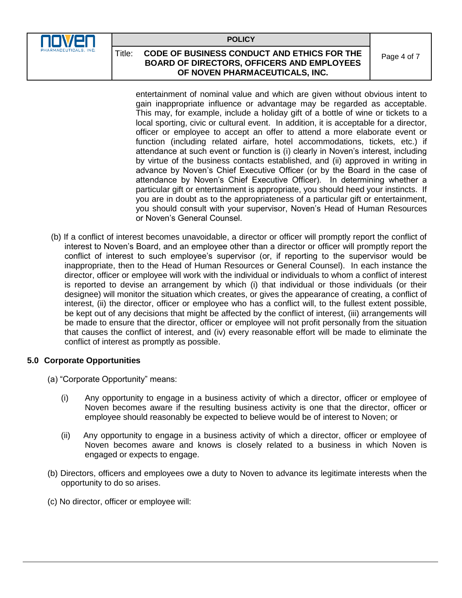

# Title: **CODE OF BUSINESS CONDUCT AND ETHICS FOR THE BOARD OF DIRECTORS, OFFICERS AND EMPLOYEES OF NOVEN PHARMACEUTICALS, INC.**

Page 4 of 7

entertainment of nominal value and which are given without obvious intent to gain inappropriate influence or advantage may be regarded as acceptable. This may, for example, include a holiday gift of a bottle of wine or tickets to a local sporting, civic or cultural event. In addition, it is acceptable for a director, officer or employee to accept an offer to attend a more elaborate event or function (including related airfare, hotel accommodations, tickets, etc.) if attendance at such event or function is (i) clearly in Noven's interest, including by virtue of the business contacts established, and (ii) approved in writing in advance by Noven's Chief Executive Officer (or by the Board in the case of attendance by Noven's Chief Executive Officer). In determining whether a particular gift or entertainment is appropriate, you should heed your instincts. If you are in doubt as to the appropriateness of a particular gift or entertainment, you should consult with your supervisor, Noven's Head of Human Resources or Noven's General Counsel.

(b) If a conflict of interest becomes unavoidable, a director or officer will promptly report the conflict of interest to Noven's Board, and an employee other than a director or officer will promptly report the conflict of interest to such employee's supervisor (or, if reporting to the supervisor would be inappropriate, then to the Head of Human Resources or General Counsel). In each instance the director, officer or employee will work with the individual or individuals to whom a conflict of interest is reported to devise an arrangement by which (i) that individual or those individuals (or their designee) will monitor the situation which creates, or gives the appearance of creating, a conflict of interest, (ii) the director, officer or employee who has a conflict will, to the fullest extent possible, be kept out of any decisions that might be affected by the conflict of interest, (iii) arrangements will be made to ensure that the director, officer or employee will not profit personally from the situation that causes the conflict of interest, and (iv) every reasonable effort will be made to eliminate the conflict of interest as promptly as possible.

## **5.0 Corporate Opportunities**

- (a) "Corporate Opportunity" means:
	- (i) Any opportunity to engage in a business activity of which a director, officer or employee of Noven becomes aware if the resulting business activity is one that the director, officer or employee should reasonably be expected to believe would be of interest to Noven; or
	- (ii) Any opportunity to engage in a business activity of which a director, officer or employee of Noven becomes aware and knows is closely related to a business in which Noven is engaged or expects to engage.
- (b) Directors, officers and employees owe a duty to Noven to advance its legitimate interests when the opportunity to do so arises.
- (c) No director, officer or employee will: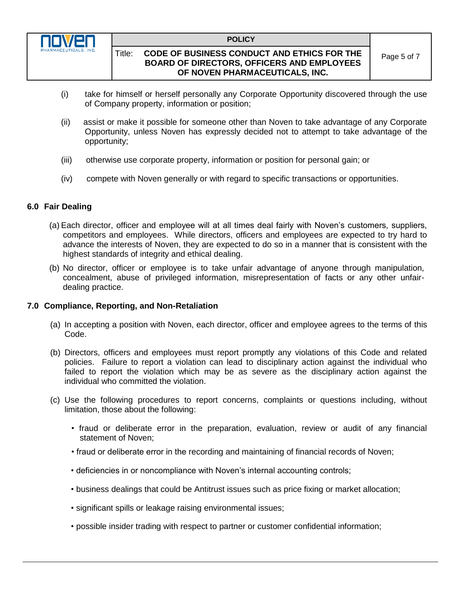

## Title: **CODE OF BUSINESS CONDUCT AND ETHICS FOR THE BOARD OF DIRECTORS, OFFICERS AND EMPLOYEES OF NOVEN PHARMACEUTICALS, INC.**

- (i) take for himself or herself personally any Corporate Opportunity discovered through the use of Company property, information or position;
- (ii) assist or make it possible for someone other than Noven to take advantage of any Corporate Opportunity, unless Noven has expressly decided not to attempt to take advantage of the opportunity;
- (iii) otherwise use corporate property, information or position for personal gain; or
- (iv) compete with Noven generally or with regard to specific transactions or opportunities.

## **6.0 Fair Dealing**

- (a) Each director, officer and employee will at all times deal fairly with Noven's customers, suppliers, competitors and employees. While directors, officers and employees are expected to try hard to advance the interests of Noven, they are expected to do so in a manner that is consistent with the highest standards of integrity and ethical dealing.
- (b) No director, officer or employee is to take unfair advantage of anyone through manipulation, concealment, abuse of privileged information, misrepresentation of facts or any other unfairdealing practice.

## **7.0 Compliance, Reporting, and Non-Retaliation**

- (a) In accepting a position with Noven, each director, officer and employee agrees to the terms of this Code.
- (b) Directors, officers and employees must report promptly any violations of this Code and related policies. Failure to report a violation can lead to disciplinary action against the individual who failed to report the violation which may be as severe as the disciplinary action against the individual who committed the violation.
- (c) Use the following procedures to report concerns, complaints or questions including, without limitation, those about the following:
	- fraud or deliberate error in the preparation, evaluation, review or audit of any financial statement of Noven;
	- fraud or deliberate error in the recording and maintaining of financial records of Noven;
	- deficiencies in or noncompliance with Noven's internal accounting controls;
	- business dealings that could be Antitrust issues such as price fixing or market allocation;
	- significant spills or leakage raising environmental issues;
	- possible insider trading with respect to partner or customer confidential information;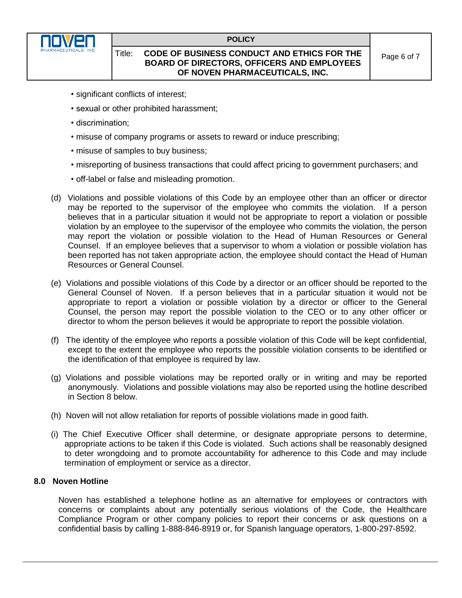

## Title: **CODE OF BUSINESS CONDUCT AND ETHICS FOR THE BOARD OF DIRECTORS, OFFICERS AND EMPLOYEES OF NOVEN PHARMACEUTICALS, INC.**

- significant conflicts of interest;
- sexual or other prohibited harassment;
- discrimination;
- misuse of company programs or assets to reward or induce prescribing;
- misuse of samples to buy business;
- misreporting of business transactions that could affect pricing to government purchasers; and
- off-label or false and misleading promotion.
- (d) Violations and possible violations of this Code by an employee other than an officer or director may be reported to the supervisor of the employee who commits the violation. If a person believes that in a particular situation it would not be appropriate to report a violation or possible violation by an employee to the supervisor of the employee who commits the violation, the person may report the violation or possible violation to the Head of Human Resources or General Counsel. If an employee believes that a supervisor to whom a violation or possible violation has been reported has not taken appropriate action, the employee should contact the Head of Human Resources or General Counsel.
- (e) Violations and possible violations of this Code by a director or an officer should be reported to the General Counsel of Noven. If a person believes that in a particular situation it would not be appropriate to report a violation or possible violation by a director or officer to the General Counsel, the person may report the possible violation to the CEO or to any other officer or director to whom the person believes it would be appropriate to report the possible violation.
- (f) The identity of the employee who reports a possible violation of this Code will be kept confidential, except to the extent the employee who reports the possible violation consents to be identified or the identification of that employee is required by law.
- (g) Violations and possible violations may be reported orally or in writing and may be reported anonymously. Violations and possible violations may also be reported using the hotline described in Section 8 below.
- (h) Noven will not allow retaliation for reports of possible violations made in good faith.
- (i) The Chief Executive Officer shall determine, or designate appropriate persons to determine, appropriate actions to be taken if this Code is violated. Such actions shall be reasonably designed to deter wrongdoing and to promote accountability for adherence to this Code and may include termination of employment or service as a director.

## **8.0 Noven Hotline**

Noven has established a telephone hotline as an alternative for employees or contractors with concerns or complaints about any potentially serious violations of the Code, the Healthcare Compliance Program or other company policies to report their concerns or ask questions on a confidential basis by calling 1-888-846-8919 or, for Spanish language operators, 1-800-297-8592.